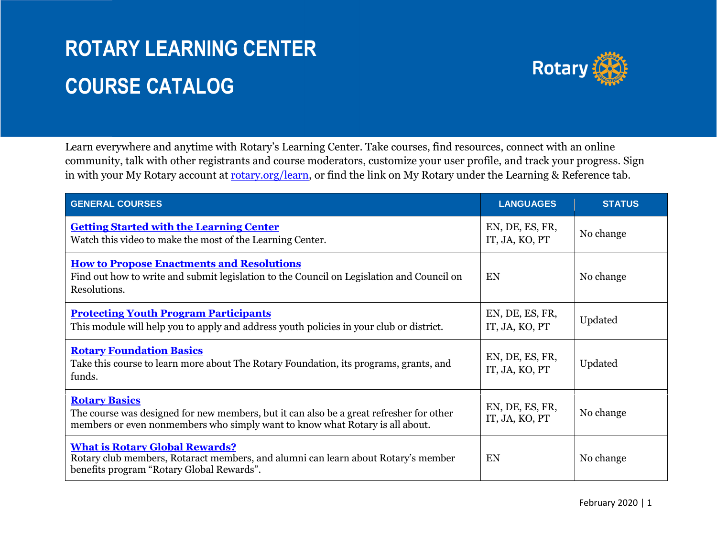## **ROTARY LEARNING CENTER COURSE CATALOG**



Learn everywhere and anytime with Rotary's Learning Center. Take courses, find resources, connect with an online community, talk with other registrants and course moderators, customize your user profile, and track your progress. Sign in with your My Rotary account at [rotary.org/learn,](https://www.rotary.org/learn) or find the link on My Rotary under the Learning & Reference tab.

| <b>GENERAL COURSES</b>                                                                                                                                                                          | <b>LANGUAGES</b>                  | <b>STATUS</b> |
|-------------------------------------------------------------------------------------------------------------------------------------------------------------------------------------------------|-----------------------------------|---------------|
| <b>Getting Started with the Learning Center</b><br>Watch this video to make the most of the Learning Center.                                                                                    | EN, DE, ES, FR,<br>IT, JA, KO, PT | No change     |
| <b>How to Propose Enactments and Resolutions</b><br>Find out how to write and submit legislation to the Council on Legislation and Council on<br>Resolutions.                                   | EN                                | No change     |
| <b>Protecting Youth Program Participants</b><br>This module will help you to apply and address youth policies in your club or district.                                                         | EN, DE, ES, FR,<br>IT, JA, KO, PT | Updated       |
| <b>Rotary Foundation Basics</b><br>Take this course to learn more about The Rotary Foundation, its programs, grants, and<br>funds.                                                              | EN, DE, ES, FR,<br>IT, JA, KO, PT | Updated       |
| <b>Rotary Basics</b><br>The course was designed for new members, but it can also be a great refresher for other<br>members or even nonmembers who simply want to know what Rotary is all about. | EN, DE, ES, FR,<br>IT, JA, KO, PT | No change     |
| <b>What is Rotary Global Rewards?</b><br>Rotary club members, Rotaract members, and alumni can learn about Rotary's member<br>benefits program "Rotary Global Rewards".                         | EN                                | No change     |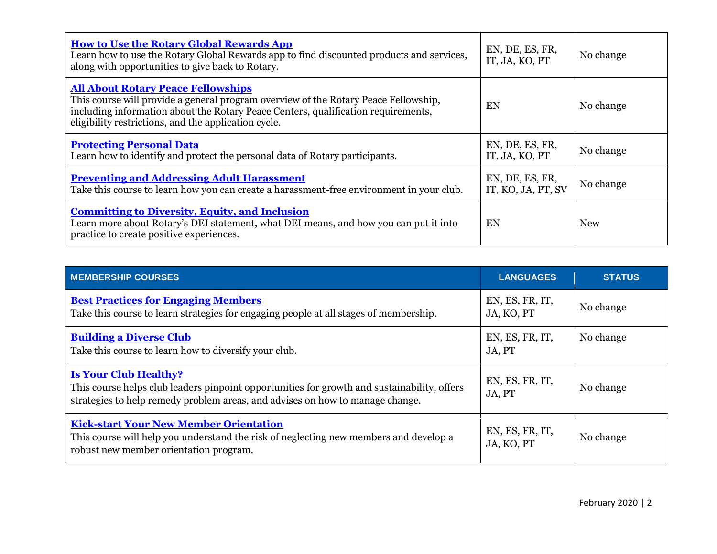| <b>How to Use the Rotary Global Rewards App</b><br>Learn how to use the Rotary Global Rewards app to find discounted products and services,<br>along with opportunities to give back to Rotary.                                                                               | EN, DE, ES, FR,<br>IT, JA, KO, PT     | No change  |
|-------------------------------------------------------------------------------------------------------------------------------------------------------------------------------------------------------------------------------------------------------------------------------|---------------------------------------|------------|
| <b>All About Rotary Peace Fellowships</b><br>This course will provide a general program overview of the Rotary Peace Fellowship,<br>including information about the Rotary Peace Centers, qualification requirements,<br>eligibility restrictions, and the application cycle. | EN                                    | No change  |
| <b>Protecting Personal Data</b><br>Learn how to identify and protect the personal data of Rotary participants.                                                                                                                                                                | EN, DE, ES, FR,<br>IT, JA, KO, PT     | No change  |
| <b>Preventing and Addressing Adult Harassment</b><br>Take this course to learn how you can create a harassment-free environment in your club.                                                                                                                                 | EN, DE, ES, FR,<br>IT, KO, JA, PT, SV | No change  |
| <b>Committing to Diversity, Equity, and Inclusion</b><br>Learn more about Rotary's DEI statement, what DEI means, and how you can put it into<br>practice to create positive experiences.                                                                                     | EN                                    | <b>New</b> |

| <b>MEMBERSHIP COURSES</b>                                                                                                                                                                                    | <b>LANGUAGES</b>              | <b>STATUS</b> |
|--------------------------------------------------------------------------------------------------------------------------------------------------------------------------------------------------------------|-------------------------------|---------------|
| <b>Best Practices for Engaging Members</b><br>Take this course to learn strategies for engaging people at all stages of membership.                                                                          | EN, ES, FR, IT,<br>JA, KO, PT | No change     |
| <b>Building a Diverse Club</b><br>Take this course to learn how to diversify your club.                                                                                                                      | EN, ES, FR, IT,<br>JA, PT     | No change     |
| <b>Is Your Club Healthy?</b><br>This course helps club leaders pinpoint opportunities for growth and sustainability, offers<br>strategies to help remedy problem areas, and advises on how to manage change. | EN, ES, FR, IT,<br>JA, PT     | No change     |
| <b>Kick-start Your New Member Orientation</b><br>This course will help you understand the risk of neglecting new members and develop a<br>robust new member orientation program.                             | EN, ES, FR, IT,<br>JA, KO, PT | No change     |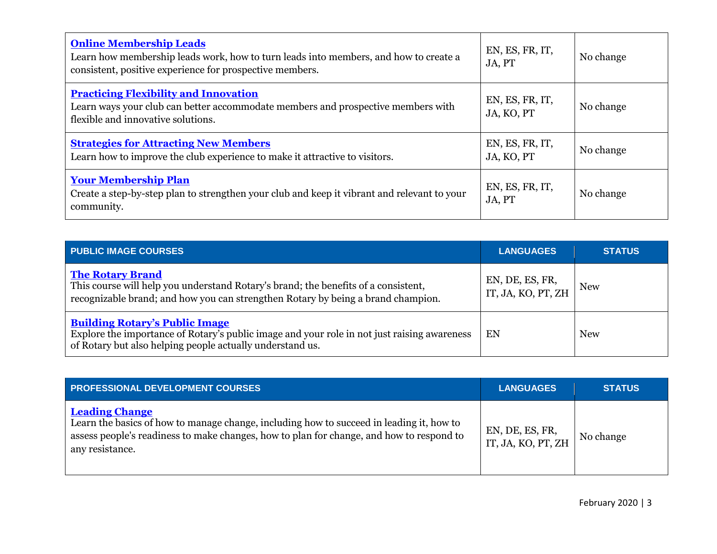| <b>Online Membership Leads</b><br>Learn how membership leads work, how to turn leads into members, and how to create a<br>consistent, positive experience for prospective members. | EN, ES, FR, IT,<br>JA, PT     | No change |
|------------------------------------------------------------------------------------------------------------------------------------------------------------------------------------|-------------------------------|-----------|
| <b>Practicing Flexibility and Innovation</b><br>Learn ways your club can better accommodate members and prospective members with<br>flexible and innovative solutions.             | EN, ES, FR, IT,<br>JA, KO, PT | No change |
| <b>Strategies for Attracting New Members</b><br>Learn how to improve the club experience to make it attractive to visitors.                                                        | EN, ES, FR, IT,<br>JA, KO, PT | No change |
| <b>Your Membership Plan</b><br>Create a step-by-step plan to strengthen your club and keep it vibrant and relevant to your<br>community.                                           | EN, ES, FR, IT,<br>JA, PT     | No change |

| <b>PUBLIC IMAGE COURSES</b>                                                                                                                                                                       | <b>LANGUAGES</b>                      | <b>STATUS</b> |
|---------------------------------------------------------------------------------------------------------------------------------------------------------------------------------------------------|---------------------------------------|---------------|
| <b>The Rotary Brand</b><br>This course will help you understand Rotary's brand; the benefits of a consistent,<br>recognizable brand; and how you can strengthen Rotary by being a brand champion. | EN, DE, ES, FR,<br>IT, JA, KO, PT, ZH | <b>New</b>    |
| <b>Building Rotary's Public Image</b><br>Explore the importance of Rotary's public image and your role in not just raising awareness<br>of Rotary but also helping people actually understand us. | EN                                    | <b>New</b>    |

| <b>PROFESSIONAL DEVELOPMENT COURSES</b>                                                                                                                                                                                          | <b>LANGUAGES</b>                      | <b>STATUS</b> |
|----------------------------------------------------------------------------------------------------------------------------------------------------------------------------------------------------------------------------------|---------------------------------------|---------------|
| <b>Leading Change</b><br>Learn the basics of how to manage change, including how to succeed in leading it, how to<br>assess people's readiness to make changes, how to plan for change, and how to respond to<br>any resistance. | EN, DE, ES, FR,<br>IT, JA, KO, PT, ZH | No change     |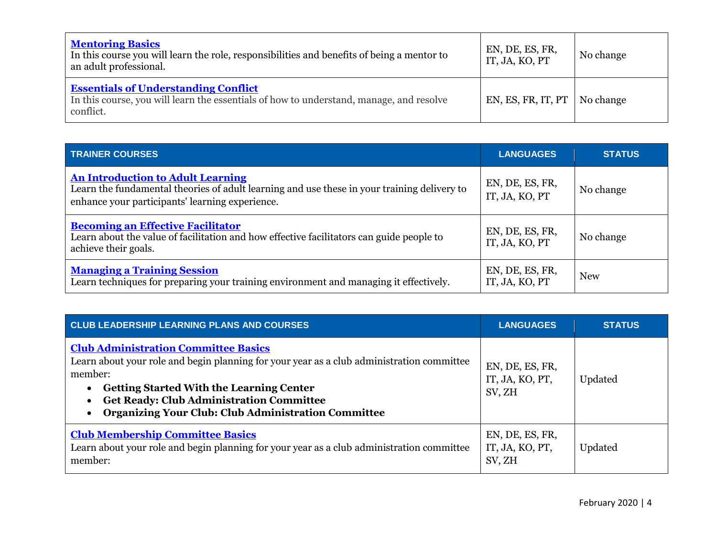| <b>Mentoring Basics</b><br>In this course you will learn the role, responsibilities and benefits of being a mentor to<br>an adult professional.     | EN, DE, ES, FR,<br>IT, JA, KO, PT | No change |
|-----------------------------------------------------------------------------------------------------------------------------------------------------|-----------------------------------|-----------|
| <b>Essentials of Understanding Conflict</b><br>In this course, you will learn the essentials of how to understand, manage, and resolve<br>conflict. | EN, ES, FR, IT, PT                | No change |

| <b>TRAINER COURSES</b>                                                                                                                                                                     | <b>LANGUAGES</b>                  | <b>STATUS</b> |
|--------------------------------------------------------------------------------------------------------------------------------------------------------------------------------------------|-----------------------------------|---------------|
| <b>An Introduction to Adult Learning</b><br>Learn the fundamental theories of adult learning and use these in your training delivery to<br>enhance your participants' learning experience. | EN, DE, ES, FR,<br>IT, JA, KO, PT | No change     |
| <b>Becoming an Effective Facilitator</b><br>Learn about the value of facilitation and how effective facilitators can guide people to<br>achieve their goals.                               | EN, DE, ES, FR,<br>IT, JA, KO, PT | No change     |
| <b>Managing a Training Session</b><br>Learn techniques for preparing your training environment and managing it effectively.                                                                | EN, DE, ES, FR,<br>IT, JA, KO, PT | <b>New</b>    |

| CLUB LEADERSHIP LEARNING PLANS AND COURSES                                                                                                                                                                                                                                                                              | <b>LANGUAGES</b>                             | <b>STATUS</b> |
|-------------------------------------------------------------------------------------------------------------------------------------------------------------------------------------------------------------------------------------------------------------------------------------------------------------------------|----------------------------------------------|---------------|
| <b>Club Administration Committee Basics</b><br>Learn about your role and begin planning for your year as a club administration committee<br>member:<br><b>Getting Started With the Learning Center</b><br><b>Get Ready: Club Administration Committee</b><br><b>Organizing Your Club: Club Administration Committee</b> | EN, DE, ES, FR,<br>IT, JA, KO, PT,<br>SV, ZH | Updated       |
| <b>Club Membership Committee Basics</b><br>Learn about your role and begin planning for your year as a club administration committee<br>member:                                                                                                                                                                         | EN, DE, ES, FR,<br>IT, JA, KO, PT,<br>SV, ZH | Updated       |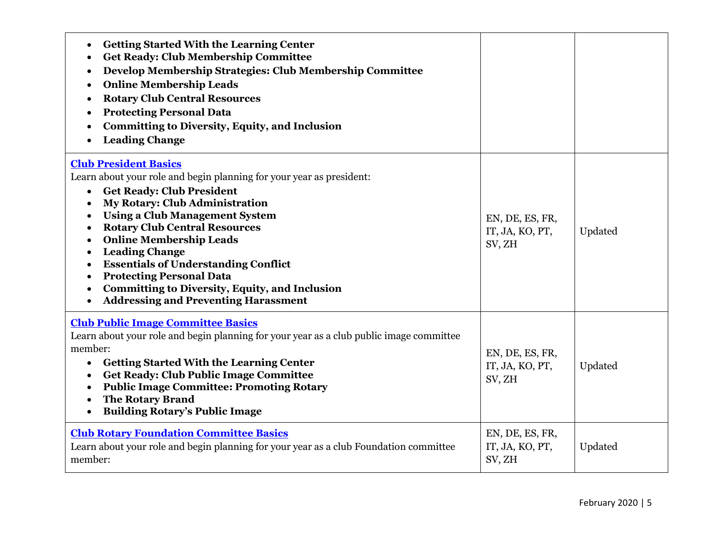| <b>Getting Started With the Learning Center</b><br><b>Get Ready: Club Membership Committee</b><br>Develop Membership Strategies: Club Membership Committee<br><b>Online Membership Leads</b><br><b>Rotary Club Central Resources</b><br><b>Protecting Personal Data</b><br><b>Committing to Diversity, Equity, and Inclusion</b><br><b>Leading Change</b>                                                                                                                                                                                                                |                                              |         |
|--------------------------------------------------------------------------------------------------------------------------------------------------------------------------------------------------------------------------------------------------------------------------------------------------------------------------------------------------------------------------------------------------------------------------------------------------------------------------------------------------------------------------------------------------------------------------|----------------------------------------------|---------|
| <b>Club President Basics</b><br>Learn about your role and begin planning for your year as president:<br><b>Get Ready: Club President</b><br>$\bullet$<br><b>My Rotary: Club Administration</b><br>٠<br><b>Using a Club Management System</b><br><b>Rotary Club Central Resources</b><br><b>Online Membership Leads</b><br><b>Leading Change</b><br>٠<br><b>Essentials of Understanding Conflict</b><br><b>Protecting Personal Data</b><br>$\bullet$<br><b>Committing to Diversity, Equity, and Inclusion</b><br><b>Addressing and Preventing Harassment</b><br>$\bullet$ | EN, DE, ES, FR,<br>IT, JA, KO, PT,<br>SV, ZH | Updated |
| <b>Club Public Image Committee Basics</b><br>Learn about your role and begin planning for your year as a club public image committee<br>member:<br><b>Getting Started With the Learning Center</b><br>٠<br><b>Get Ready: Club Public Image Committee</b><br>$\bullet$<br><b>Public Image Committee: Promoting Rotary</b><br><b>The Rotary Brand</b><br><b>Building Rotary's Public Image</b><br>$\bullet$                                                                                                                                                                | EN, DE, ES, FR,<br>IT, JA, KO, PT,<br>SV, ZH | Updated |
| <b>Club Rotary Foundation Committee Basics</b><br>Learn about your role and begin planning for your year as a club Foundation committee<br>member:                                                                                                                                                                                                                                                                                                                                                                                                                       | EN, DE, ES, FR,<br>IT, JA, KO, PT,<br>SV, ZH | Updated |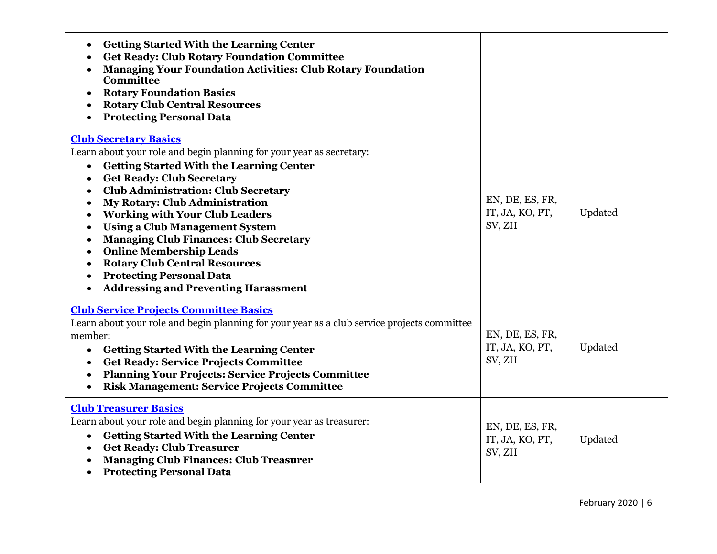| <b>Getting Started With the Learning Center</b><br>$\bullet$<br><b>Get Ready: Club Rotary Foundation Committee</b><br><b>Managing Your Foundation Activities: Club Rotary Foundation</b><br>$\bullet$<br><b>Committee</b><br><b>Rotary Foundation Basics</b><br><b>Rotary Club Central Resources</b><br><b>Protecting Personal Data</b>                                                                                                                                                                                                                                                                                                                         |                                              |         |
|-----------------------------------------------------------------------------------------------------------------------------------------------------------------------------------------------------------------------------------------------------------------------------------------------------------------------------------------------------------------------------------------------------------------------------------------------------------------------------------------------------------------------------------------------------------------------------------------------------------------------------------------------------------------|----------------------------------------------|---------|
| <b>Club Secretary Basics</b><br>Learn about your role and begin planning for your year as secretary:<br><b>Getting Started With the Learning Center</b><br>$\bullet$<br><b>Get Ready: Club Secretary</b><br>$\bullet$<br><b>Club Administration: Club Secretary</b><br><b>My Rotary: Club Administration</b><br><b>Working with Your Club Leaders</b><br>$\bullet$<br><b>Using a Club Management System</b><br>$\bullet$<br><b>Managing Club Finances: Club Secretary</b><br>$\bullet$<br><b>Online Membership Leads</b><br>$\bullet$<br><b>Rotary Club Central Resources</b><br><b>Protecting Personal Data</b><br><b>Addressing and Preventing Harassment</b> | EN, DE, ES, FR,<br>IT, JA, KO, PT,<br>SV, ZH | Updated |
| <b>Club Service Projects Committee Basics</b><br>Learn about your role and begin planning for your year as a club service projects committee<br>member:<br><b>Getting Started With the Learning Center</b><br>$\bullet$<br><b>Get Ready: Service Projects Committee</b><br>$\bullet$<br><b>Planning Your Projects: Service Projects Committee</b><br>$\bullet$<br><b>Risk Management: Service Projects Committee</b><br>$\bullet$                                                                                                                                                                                                                               | EN, DE, ES, FR,<br>IT, JA, KO, PT,<br>SV, ZH | Updated |
| <b>Club Treasurer Basics</b><br>Learn about your role and begin planning for your year as treasurer:<br><b>Getting Started With the Learning Center</b><br>$\bullet$<br><b>Get Ready: Club Treasurer</b><br><b>Managing Club Finances: Club Treasurer</b><br><b>Protecting Personal Data</b>                                                                                                                                                                                                                                                                                                                                                                    | EN, DE, ES, FR,<br>IT, JA, KO, PT,<br>SV, ZH | Updated |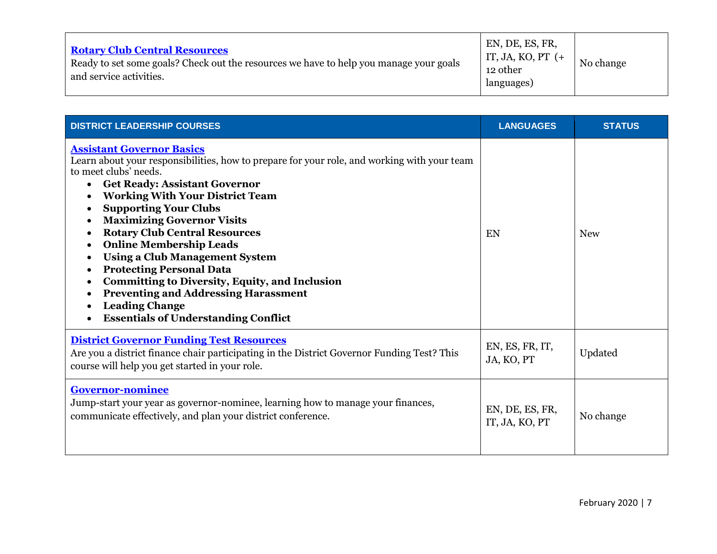| <b>Rotary Club Central Resources</b><br>Ready to set some goals? Check out the resources we have to help you manage your goals<br>and service activities. | EN, DE, ES, FR,<br>IT, JA, KO, PT $(+$<br>12 other<br>languages) | No change |
|-----------------------------------------------------------------------------------------------------------------------------------------------------------|------------------------------------------------------------------|-----------|
|-----------------------------------------------------------------------------------------------------------------------------------------------------------|------------------------------------------------------------------|-----------|

| <b>DISTRICT LEADERSHIP COURSES</b>                                                                                                                                                                                                                                                                                                                                                                                                                                                                                                                                                                                                                    | <b>LANGUAGES</b>                  | <b>STATUS</b> |
|-------------------------------------------------------------------------------------------------------------------------------------------------------------------------------------------------------------------------------------------------------------------------------------------------------------------------------------------------------------------------------------------------------------------------------------------------------------------------------------------------------------------------------------------------------------------------------------------------------------------------------------------------------|-----------------------------------|---------------|
| <b>Assistant Governor Basics</b><br>Learn about your responsibilities, how to prepare for your role, and working with your team<br>to meet clubs' needs.<br><b>Get Ready: Assistant Governor</b><br><b>Working With Your District Team</b><br><b>Supporting Your Clubs</b><br><b>Maximizing Governor Visits</b><br><b>Rotary Club Central Resources</b><br><b>Online Membership Leads</b><br><b>Using a Club Management System</b><br><b>Protecting Personal Data</b><br><b>Committing to Diversity, Equity, and Inclusion</b><br><b>Preventing and Addressing Harassment</b><br><b>Leading Change</b><br><b>Essentials of Understanding Conflict</b> | EN                                | <b>New</b>    |
| <b>District Governor Funding Test Resources</b><br>Are you a district finance chair participating in the District Governor Funding Test? This<br>course will help you get started in your role.                                                                                                                                                                                                                                                                                                                                                                                                                                                       | EN, ES, FR, IT,<br>JA, KO, PT     | Updated       |
| <b>Governor-nominee</b><br>Jump-start your year as governor-nominee, learning how to manage your finances,<br>communicate effectively, and plan your district conference.                                                                                                                                                                                                                                                                                                                                                                                                                                                                             | EN, DE, ES, FR,<br>IT, JA, KO, PT | No change     |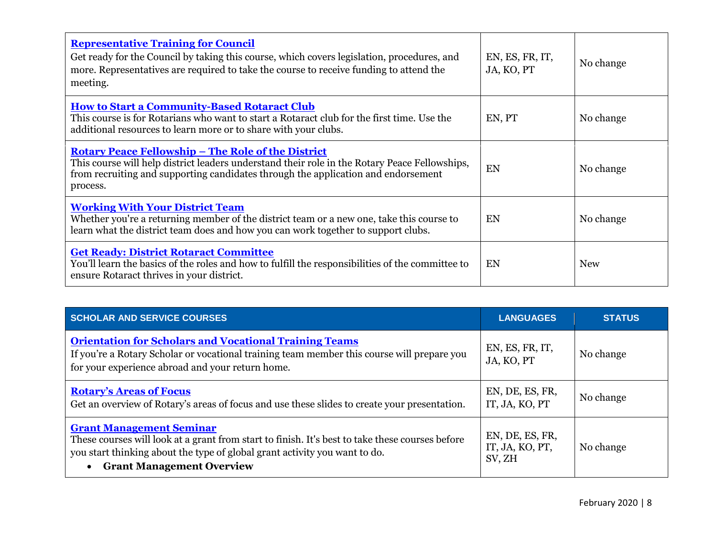| <b>Representative Training for Council</b><br>Get ready for the Council by taking this course, which covers legislation, procedures, and<br>more. Representatives are required to take the course to receive funding to attend the<br>meeting.               | EN, ES, FR, IT,<br>JA, KO, PT | No change  |
|--------------------------------------------------------------------------------------------------------------------------------------------------------------------------------------------------------------------------------------------------------------|-------------------------------|------------|
| <b>How to Start a Community-Based Rotaract Club</b><br>This course is for Rotarians who want to start a Rotaract club for the first time. Use the<br>additional resources to learn more or to share with your clubs.                                         | EN, PT                        | No change  |
| <u> Rotary Peace Fellowship – The Role of the District</u><br>This course will help district leaders understand their role in the Rotary Peace Fellowships,<br>from recruiting and supporting candidates through the application and endorsement<br>process. | EN                            | No change  |
| <b>Working With Your District Team</b><br>Whether you're a returning member of the district team or a new one, take this course to<br>learn what the district team does and how you can work together to support clubs.                                      | EN                            | No change  |
| <b>Get Ready: District Rotaract Committee</b><br>You'll learn the basics of the roles and how to fulfill the responsibilities of the committee to<br>ensure Rotaract thrives in your district.                                                               | EN                            | <b>New</b> |

| <b>SCHOLAR AND SERVICE COURSES</b>                                                                                                                                                                                                                   | <b>LANGUAGES</b>                             | <b>STATUS</b> |
|------------------------------------------------------------------------------------------------------------------------------------------------------------------------------------------------------------------------------------------------------|----------------------------------------------|---------------|
| <b>Orientation for Scholars and Vocational Training Teams</b><br>If you're a Rotary Scholar or vocational training team member this course will prepare you<br>for your experience abroad and your return home.                                      | EN, ES, FR, IT,<br>JA, KO, PT                | No change     |
| <b>Rotary's Areas of Focus</b><br>Get an overview of Rotary's areas of focus and use these slides to create your presentation.                                                                                                                       | EN, DE, ES, FR,<br>IT, JA, KO, PT            | No change     |
| <b>Grant Management Seminar</b><br>These courses will look at a grant from start to finish. It's best to take these courses before<br>you start thinking about the type of global grant activity you want to do.<br><b>Grant Management Overview</b> | EN, DE, ES, FR,<br>IT, JA, KO, PT,<br>SV, ZH | No change     |